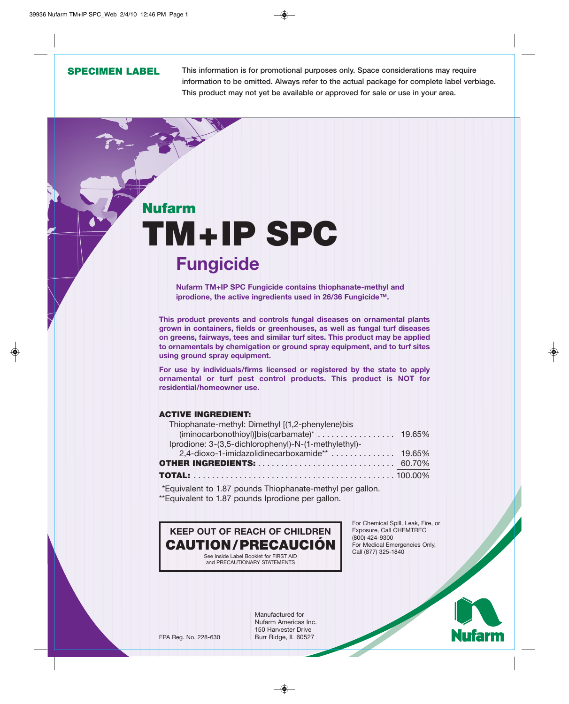# **SPECIMEN LABEL**

**This information is for promotional purposes only. Space considerations may require information to be omitted. Always refer to the actual package for complete label verbiage. This product may not yet be available or approved for sale or use in your area.**

# **Nufarm TM+IP SPC Fungicide**

**Nufarm TM+IP SPC Fungicide contains thiophanate-methyl and iprodione, the active ingredients used in 26/36 Fungicide™.**

**This product prevents and controls fungal diseases on ornamental plants grown in containers, fields or greenhouses, as well as fungal turf diseases on greens, fairways, tees and similar turf sites. This product may be applied to ornamentals by chemigation or ground spray equipment, and to turf sites using ground spray equipment.**

**For use by individuals/firms licensed or registered by the state to apply ornamental or turf pest control products. This product is NOT for residential/homeowner use.**

# **ACTIVE INGREDIENT:**

| Thiophanate-methyl: Dimethyl [(1,2-phenylene)bis     |  |
|------------------------------------------------------|--|
|                                                      |  |
| Iprodione: 3-(3,5-dichlorophenyl)-N-(1-methylethyl)- |  |
|                                                      |  |
|                                                      |  |
|                                                      |  |

\*Equivalent to 1.87 pounds Thiophanate-methyl per gallon. \*\*Equivalent to 1.87 pounds Iprodione per gallon.



For Chemical Spill, Leak, Fire, or Exposure, Call CHEMTREC (800) 424-9300 For Medical Emergencies Only, Call (877) 325-1840

Manufactured for Nufarm Americas Inc. 150 Harvester Drive EPA Reg. No. 228-630 | Burr Ridge, IL 60527

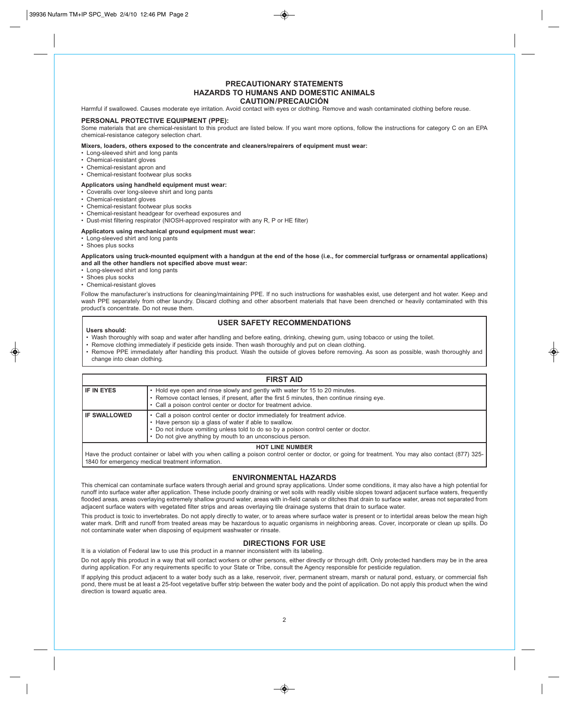## **PRECAUTIONARY STATEMENTS HAZARDS TO HUMANS AND DOMESTIC ANIMALS CAUTION/PRECAUCIÓN**

Harmful if swallowed. Causes moderate eye irritation. Avoid contact with eyes or clothing. Remove and wash contaminated clothing before reuse.

## **PERSONAL PROTECTIVE EQUIPMENT (PPE):**

Some materials that are chemical-resistant to this product are listed below. If you want more options, follow the instructions for category C on an EPA chemical-resistance category selection chart.

**Mixers, loaders, others exposed to the concentrate and cleaners/repairers of equipment must wear:**

- Long-sleeved shirt and long pants
- Chemical-resistant gloves
- Chemical-resistant apron and
- Chemical-resistant footwear plus socks

#### **Applicators using handheld equipment must wear:**

- Coveralls over long-sleeve shirt and long pants
- Chemical-resistant gloves
- Chemical-resistant footwear plus socks
- Chemical-resistant headgear for overhead exposures and
- Dust-mist filtering respirator (NIOSH-approved respirator with any R, P or HE filter)

#### **Applicators using mechanical ground equipment must wear:**

- Long-sleeved shirt and long pants
- Shoes plus socks

**Applicators using truck-mounted equipment with a handgun at the end of the hose (i.e., for commercial turfgrass or ornamental applications) and all the other handlers not specified above must wear:**

- Long-sleeved shirt and long pants
- Shoes plus socks
- Chemical-resistant gloves

Follow the manufacturer's instructions for cleaning/maintaining PPE. If no such instructions for washables exist, use detergent and hot water. Keep and wash PPE separately from other laundry. Discard clothing and other absorbent materials that have been drenched or heavily contaminated with this product's concentrate. Do not reuse them.

# **USER SAFETY RECOMMENDATIONS**

#### **Users should:**

- Wash thoroughly with soap and water after handling and before eating, drinking, chewing gum, using tobacco or using the toilet.
- Remove clothing immediately if pesticide gets inside. Then wash thoroughly and put on clean clothing.
- Remove PPE immediately after handling this product. Wash the outside of gloves before removing. As soon as possible, wash thoroughly and change into clean clothing.

| <b>FIRST AID</b>       |                                                                                                                                                                                                                                                                                        |  |  |  |
|------------------------|----------------------------------------------------------------------------------------------------------------------------------------------------------------------------------------------------------------------------------------------------------------------------------------|--|--|--|
| <b>IF IN EYES</b>      | • Hold eye open and rinse slowly and gently with water for 15 to 20 minutes.<br>. Remove contact lenses, if present, after the first 5 minutes, then continue rinsing eye.<br>• Call a poison control center or doctor for treatment advice.                                           |  |  |  |
| <b>IF SWALLOWED</b>    | • Call a poison control center or doctor immediately for treatment advice.<br>• Have person sip a glass of water if able to swallow.<br>• Do not induce vomiting unless told to do so by a poison control center or doctor.<br>Do not give anything by mouth to an unconscious person. |  |  |  |
| <b>HOT LINE NUMBER</b> |                                                                                                                                                                                                                                                                                        |  |  |  |

Have the product container or label with you when calling a poison control center or doctor, or going for treatment. You may also contact (877) 325- 1840 for emergency medical treatment information.

#### **ENVIRONMENTAL HAZARDS**

This chemical can contaminate surface waters through aerial and ground spray applications. Under some conditions, it may also have a high potential for runoff into surface water after application. These include poorly draining or wet soils with readily visible slopes toward adjacent surface waters, frequently flooded areas, areas overlaying extremely shallow ground water, areas with in-field canals or ditches that drain to surface water, areas not separated from adjacent surface waters with vegetated filter strips and areas overlaying tile drainage systems that drain to surface water.

This product is toxic to invertebrates. Do not apply directly to water, or to areas where surface water is present or to intertidal areas below the mean high water mark. Drift and runoff from treated areas may be hazardous to aquatic organisms in neighboring areas. Cover, incorporate or clean up spills. Do not contaminate water when disposing of equipment washwater or rinsate.

# **DIRECTIONS FOR USE**

It is a violation of Federal law to use this product in a manner inconsistent with its labeling.

Do not apply this product in a way that will contact workers or other persons, either directly or through drift. Only protected handlers may be in the area during application. For any requirements specific to your State or Tribe, consult the Agency responsible for pesticide regulation.

If applying this product adjacent to a water body such as a lake, reservoir, river, permanent stream, marsh or natural pond, estuary, or commercial fish pond, there must be at least a 25-foot vegetative buffer strip between the water body and the point of application. Do not apply this product when the wind direction is toward aquatic area.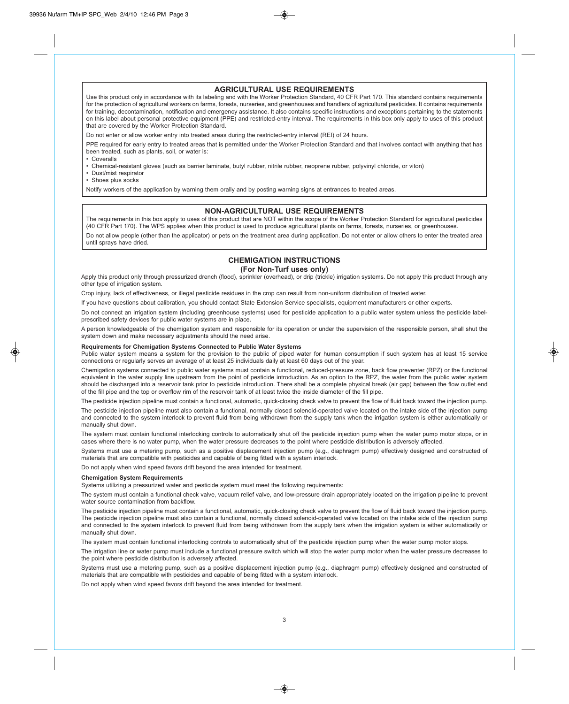# **AGRICULTURAL USE REQUIREMENTS**

Use this product only in accordance with its labeling and with the Worker Protection Standard, 40 CFR Part 170. This standard contains requirements for the protection of agricultural workers on farms, forests, nurseries, and greenhouses and handlers of agricultural pesticides. It contains requirements for training, decontamination, notification and emergency assistance. It also contains specific instructions and exceptions pertaining to the statements on this label about personal protective equipment (PPE) and restricted-entry interval. The requirements in this box only apply to uses of this product that are covered by the Worker Protection Standard.

Do not enter or allow worker entry into treated areas during the restricted-entry interval (REI) of 24 hours.

PPE required for early entry to treated areas that is permitted under the Worker Protection Standard and that involves contact with anything that has been treated, such as plants, soil, or water is:

• Coveralls

• Chemical-resistant gloves (such as barrier laminate, butyl rubber, nitrile rubber, neoprene rubber, polyvinyl chloride, or viton)

• Dust/mist respirator

• Shoes plus socks

Notify workers of the application by warning them orally and by posting warning signs at entrances to treated areas.

## **NON-AGRICULTURAL USE REQUIREMENTS**

The requirements in this box apply to uses of this product that are NOT within the scope of the Worker Protection Standard for agricultural pesticides (40 CFR Part 170). The WPS applies when this product is used to produce agricultural plants on farms, forests, nurseries, or greenhouses. Do not allow people (other than the applicator) or pets on the treatment area during application. Do not enter or allow others to enter the treated area until sprays have dried.

# **CHEMIGATION INSTRUCTIONS**

## **(For Non-Turf uses only)**

Apply this product only through pressurized drench (flood), sprinkler (overhead), or drip (trickle) irrigation systems. Do not apply this product through any other type of irrigation system.

Crop injury, lack of effectiveness, or illegal pesticide residues in the crop can result from non-uniform distribution of treated water.

If you have questions about calibration, you should contact State Extension Service specialists, equipment manufacturers or other experts.

Do not connect an irrigation system (including greenhouse systems) used for pesticide application to a public water system unless the pesticide labelprescribed safety devices for public water systems are in place.

A person knowledgeable of the chemigation system and responsible for its operation or under the supervision of the responsible person, shall shut the system down and make necessary adjustments should the need arise.

#### **Requirements for Chemigation Systems Connected to Public Water Systems**

Public water system means a system for the provision to the public of piped water for human consumption if such system has at least 15 service connections or regularly serves an average of at least 25 individuals daily at least 60 days out of the year.

Chemigation systems connected to public water systems must contain a functional, reduced-pressure zone, back flow preventer (RPZ) or the functional equivalent in the water supply line upstream from the point of pesticide introduction. As an option to the RPZ, the water from the public water system should be discharged into a reservoir tank prior to pesticide introduction. There shall be a complete physical break (air gap) between the flow outlet end of the fill pipe and the top or overflow rim of the reservoir tank of at least twice the inside diameter of the fill pipe.

The pesticide injection pipeline must contain a functional, automatic, quick-closing check valve to prevent the flow of fluid back toward the injection pump.

The pesticide injection pipeline must also contain a functional, normally closed solenoid-operated valve located on the intake side of the injection pump and connected to the system interlock to prevent fluid from being withdrawn from the supply tank when the irrigation system is either automatically or manually shut down.

The system must contain functional interlocking controls to automatically shut off the pesticide injection pump when the water pump motor stops, or in cases where there is no water pump, when the water pressure decreases to the point where pesticide distribution is adversely affected.

Systems must use a metering pump, such as a positive displacement injection pump (e.g., diaphragm pump) effectively designed and constructed of materials that are compatible with pesticides and capable of being fitted with a system interlock.

Do not apply when wind speed favors drift beyond the area intended for treatment.

#### **Chemigation System Requirements**

Systems utilizing a pressurized water and pesticide system must meet the following requirements:

The system must contain a functional check valve, vacuum relief valve, and low-pressure drain appropriately located on the irrigation pipeline to prevent water source contamination from backflow.

The pesticide injection pipeline must contain a functional, automatic, quick-closing check valve to prevent the flow of fluid back toward the injection pump. The pesticide injection pipeline must also contain a functional, normally closed solenoid-operated valve located on the intake side of the injection pump and connected to the system interlock to prevent fluid from being withdrawn from the supply tank when the irrigation system is either automatically or manually shut down.

The system must contain functional interlocking controls to automatically shut off the pesticide injection pump when the water pump motor stops.

The irrigation line or water pump must include a functional pressure switch which will stop the water pump motor when the water pressure decreases to the point where pesticide distribution is adversely affected.

Systems must use a metering pump, such as a positive displacement injection pump (e.g., diaphragm pump) effectively designed and constructed of materials that are compatible with pesticides and capable of being fitted with a system interlock.

Do not apply when wind speed favors drift beyond the area intended for treatment.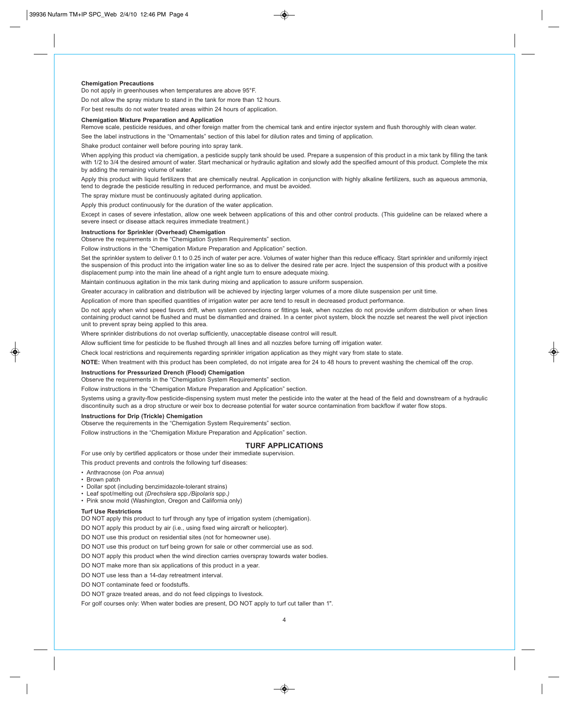#### **Chemigation Precautions**

Do not apply in greenhouses when temperatures are above 95°F.

Do not allow the spray mixture to stand in the tank for more than 12 hours.

For best results do not water treated areas within 24 hours of application.

#### **Chemigation Mixture Preparation and Application**

Remove scale, pesticide residues, and other foreign matter from the chemical tank and entire injector system and flush thoroughly with clean water.

See the label instructions in the "Ornamentals" section of this label for dilution rates and timing of application.

Shake product container well before pouring into spray tank.

When applying this product via chemigation, a pesticide supply tank should be used. Prepare a suspension of this product in a mix tank by filling the tank with 1/2 to 3/4 the desired amount of water. Start mechanical or hydraulic agitation and slowly add the specified amount of this product. Complete the mix by adding the remaining volume of water.

Apply this product with liquid fertilizers that are chemically neutral. Application in conjunction with highly alkaline fertilizers, such as aqueous ammonia, tend to degrade the pesticide resulting in reduced performance, and must be avoided.

The spray mixture must be continuously agitated during application.

Apply this product continuously for the duration of the water application.

Except in cases of severe infestation, allow one week between applications of this and other control products. (This guideline can be relaxed where a severe insect or disease attack requires immediate treatment.)

#### **Instructions for Sprinkler (Overhead) Chemigation**

Observe the requirements in the "Chemigation System Requirements" section.

Follow instructions in the "Chemigation Mixture Preparation and Application" section.

Set the sprinkler system to deliver 0.1 to 0.25 inch of water per acre. Volumes of water higher than this reduce efficacy. Start sprinkler and uniformly inject the suspension of this product into the irrigation water line so as to deliver the desired rate per acre. Inject the suspension of this product with a positive displacement pump into the main line ahead of a right angle turn to ensure adequate mixing.

Maintain continuous agitation in the mix tank during mixing and application to assure uniform suspension.

Greater accuracy in calibration and distribution will be achieved by injecting larger volumes of a more dilute suspension per unit time.

Application of more than specified quantities of irrigation water per acre tend to result in decreased product performance.

Do not apply when wind speed favors drift, when system connections or fittings leak, when nozzles do not provide uniform distribution or when lines containing product cannot be flushed and must be dismantled and drained. In a center pivot system, block the nozzle set nearest the well pivot injection unit to prevent spray being applied to this area.

Where sprinkler distributions do not overlap sufficiently, unacceptable disease control will result.

Allow sufficient time for pesticide to be flushed through all lines and all nozzles before turning off irrigation water.

Check local restrictions and requirements regarding sprinkler irrigation application as they might vary from state to state.

**NOTE:** When treatment with this product has been completed, do not irrigate area for 24 to 48 hours to prevent washing the chemical off the crop.

#### **Instructions for Pressurized Drench (Flood) Chemigation**

Observe the requirements in the "Chemigation System Requirements" section.

instructions in the "Chemigation Mixture Preparation and Application" section.

Systems using a gravity-flow pesticide-dispensing system must meter the pesticide into the water at the head of the field and downstream of a hydraulic discontinuity such as a drop structure or weir box to decrease potential for water source contamination from backflow if water flow stops.

#### **Instructions for Drip (Trickle) Chemigation**

Observe the requirements in the "Chemigation System Requirements" section.

For use only by certified applicators or those under their immediate supervision.

Follow instructions in the "Chemigation Mixture Preparation and Application" section.

#### **TURF APPLICATIONS**

This product prevents and controls the following turf diseases:

- Anthracnose (on *Poa annua*)
- Brown patch
- Dollar spot (including benzimidazole-tolerant strains)
- Leaf spot/melting out *(Drechslera* spp.*/Bipolaris* spp.*)*
- Pink snow mold (Washington, Oregon and California only)

#### **Turf Use Restrictions**

DO NOT apply this product to turf through any type of irrigation system (chemigation).

DO NOT apply this product by air (i.e., using fixed wing aircraft or helicopter).

DO NOT use this product on residential sites (not for homeowner use).

DO NOT use this product on turf being grown for sale or other commercial use as sod.

DO NOT apply this product when the wind direction carries overspray towards water bodies.

DO NOT make more than six applications of this product in a year.

DO NOT use less than a 14-day retreatment interval.

DO NOT contaminate feed or foodstuffs.

DO NOT graze treated areas, and do not feed clippings to livestock.

For golf courses only: When water bodies are present, DO NOT apply to turf cut taller than 1".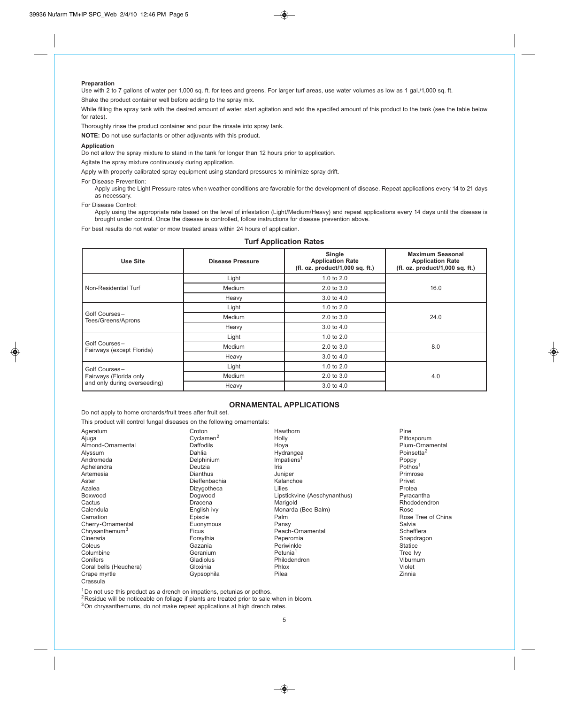#### **Preparation**

Use with 2 to 7 gallons of water per 1,000 sq. ft. for tees and greens. For larger turf areas, use water volumes as low as 1 gal./1,000 sq. ft. Shake the product container well before adding to the spray mix.

While filling the spray tank with the desired amount of water, start agitation and add the specifed amount of this product to the tank (see the table below for rates).

Thoroughly rinse the product container and pour the rinsate into spray tank.

**NOTE:** Do not use surfactants or other adjuvants with this product.

#### **Application**

Do not allow the spray mixture to stand in the tank for longer than 12 hours prior to application.

Agitate the spray mixture continuously during application.

Apply with properly calibrated spray equipment using standard pressures to minimize spray drift.

For Disease Prevention:

Apply using the Light Pressure rates when weather conditions are favorable for the development of disease. Repeat applications every 14 to 21 days as necessary.

For Disease Control:

Apply using the appropriate rate based on the level of infestation (Light/Medium/Heavy) and repeat applications every 14 days until the disease is brought under control. Once the disease is controlled, follow instructions for disease prevention above.

For best results do not water or mow treated areas within 24 hours of application.

# **Turf Application Rates**

| Use Site                                                                | <b>Disease Pressure</b> | Single<br><b>Application Rate</b><br>(fl. oz. product/1,000 sq. ft.) | <b>Maximum Seasonal</b><br><b>Application Rate</b><br>(fl. oz. product/1,000 sq. ft.) |
|-------------------------------------------------------------------------|-------------------------|----------------------------------------------------------------------|---------------------------------------------------------------------------------------|
| Non-Residential Turf                                                    | Light                   | 1.0 to $2.0$                                                         |                                                                                       |
|                                                                         | Medium                  | $2.0 \text{ to } 3.0$                                                | 16.0                                                                                  |
|                                                                         | Heavy                   | 3.0 to 4.0                                                           |                                                                                       |
| Golf Courses-<br>Tees/Greens/Aprons                                     | Light                   | 1.0 to $2.0$                                                         |                                                                                       |
|                                                                         | Medium                  | $2.0 \text{ to } 3.0$                                                | 24.0                                                                                  |
|                                                                         | Heavy                   | $3.0 \text{ to } 4.0$                                                |                                                                                       |
| Golf Courses-<br>Fairways (except Florida)                              | Light                   | 1.0 to $2.0$                                                         |                                                                                       |
|                                                                         | Medium                  | $2.0 \text{ to } 3.0$                                                | 8.0                                                                                   |
|                                                                         | Heavy                   | 3.0 to 4.0                                                           |                                                                                       |
| Golf Courses-<br>Fairways (Florida only<br>and only during overseeding) | Light                   | 1.0 to $2.0$                                                         |                                                                                       |
|                                                                         | Medium                  | $2.0 \text{ to } 3.0$                                                | 4.0                                                                                   |
|                                                                         | Heavy                   | 3.0 to 4.0                                                           |                                                                                       |

# **ORNAMENTAL APPLICATIONS**

Do not apply to home orchards/fruit trees after fruit set.

|                            | This product will control fungal diseases on the following ornamentals: |                              |                        |
|----------------------------|-------------------------------------------------------------------------|------------------------------|------------------------|
| Ageratum                   | Croton                                                                  | Hawthorn                     | Pine                   |
| Ajuga                      | Cyclamen <sup>2</sup>                                                   | Holly                        | Pittosporum            |
| Almond-Ornamental          | <b>Daffodils</b>                                                        | Hoya                         | Plum-Ornamental        |
| Alyssum                    | Dahlia                                                                  | Hydrangea                    | Poinsetta <sup>2</sup> |
| Andromeda                  | Delphinium                                                              | Impatiens <sup>1</sup>       | Poppy                  |
| Aphelandra                 | Deutzia                                                                 | Iris                         | Pothos <sup>1</sup>    |
| Artemesia                  | <b>Dianthus</b>                                                         | Juniper                      | Primrose               |
| Aster                      | Dieffenbachia                                                           | Kalanchoe                    | Privet                 |
| Azalea                     | Dizygotheca                                                             | Lilies                       | Protea                 |
| Boxwood                    | Dogwood                                                                 | Lipstickvine (Aeschynanthus) | Pyracantha             |
| Cactus                     | Dracena                                                                 | Marigold                     | Rhododendron           |
| Calendula                  | English ivy                                                             | Monarda (Bee Balm)           | Rose                   |
| Carnation                  | Episcle                                                                 | Palm                         | Rose Tree of China     |
| Cherry-Ornamental          | Euonymous                                                               | Pansy                        | Salvia                 |
| Chrysanthemum <sup>3</sup> | <b>Ficus</b>                                                            | Peach-Ornamental             | Schefflera             |
| Cineraria                  | Forsythia                                                               | Peperomia                    | Snapdragon             |
| Coleus                     | Gazania                                                                 | Periwinkle                   | <b>Statice</b>         |
| Columbine                  | Geranium                                                                | Petunia <sup>1</sup>         | Tree Ivy               |
| Conifers                   | Gladiolus                                                               | Philodendron                 | Viburnum               |
| Coral bells (Heuchera)     | Gloxinia                                                                | Phlox                        | Violet                 |
| Crape myrtle               | Gypsophila                                                              | Pilea                        | Zinnia                 |
| Crassula                   |                                                                         |                              |                        |

 $1$ Do not use this product as a drench on impatiens, petunias or pothos.

 $2$ Residue will be noticeable on foliage if plants are treated prior to sale when in bloom.

<sup>3</sup>On chrysanthemums, do not make repeat applications at high drench rates.